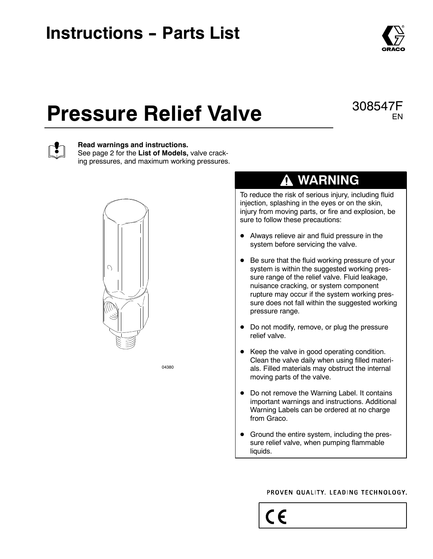## **Instructions - Parts List**





#### **Read warnings and instructions.**

See page 2 for the **List of Models,** valve cracking pressures, and maximum working pressures.



04380

#### **WARNING**

EN

To reduce the risk of serious injury, including fluid injection, splashing in the eyes or on the skin, injury from moving parts, or fire and explosion, be sure to follow these precautions:

- Always relieve air and fluid pressure in the system before servicing the valve.
- $\bullet$  Be sure that the fluid working pressure of your system is within the suggested working pressure range of the relief valve. Fluid leakage, nuisance cracking, or system component rupture may occur if the system working pressure does not fall within the suggested working pressure range.
- $\bullet$  Do not modify, remove, or plug the pressure relief valve.
- Keep the valve in good operating condition. Clean the valve daily when using filled materials. Filled materials may obstruct the internal moving parts of the valve.
- Do not remove the Warning Label. It contains important warnings and instructions. Additional Warning Labels can be ordered at no charge from Graco.
- Ground the entire system, including the pressure relief valve, when pumping flammable liquids.

 $\mathsf{C}\mathsf{E}$ 

#### PROVEN QUALITY, LEADING TECHNOLOGY,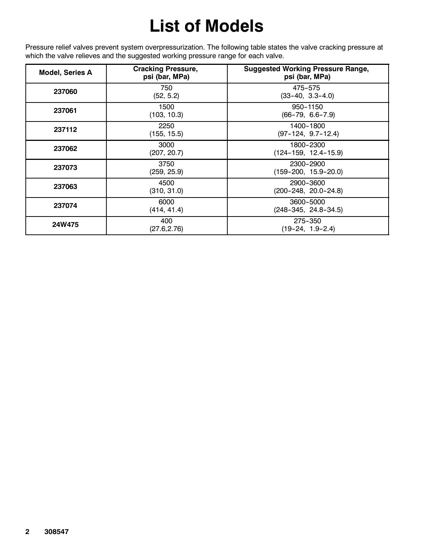# **List of Models**

Pressure relief valves prevent system overpressurization. The following table states the valve cracking pressure at which the valve relieves and the suggested working pressure range for each valve.

| <b>Model, Series A</b> | <b>Cracking Pressure,</b><br>psi (bar, MPa) | <b>Suggested Working Pressure Range,</b><br>psi (bar, MPa) |
|------------------------|---------------------------------------------|------------------------------------------------------------|
| 237060                 | 750<br>(52, 5.2)                            | 475-575<br>$(33-40, 3.3-4.0)$                              |
| 237061                 | 1500<br>(103, 10.3)                         | 950-1150<br>$(66-79, 6.6-7.9)$                             |
| 237112                 | 2250<br>(155, 15.5)                         | 1400-1800<br>$(97-124, 9.7-12.4)$                          |
| 237062                 | 3000<br>(207, 20.7)                         | 1800-2300<br>$(124 - 159, 12.4 - 15.9)$                    |
| 237073                 | 3750<br>(259, 25.9)                         | 2300-2900<br>$(159-200, 15.9-20.0)$                        |
| 237063                 | 4500<br>(310, 31.0)                         | 2900-3600<br>$(200-248, 20.0-24.8)$                        |
| 237074                 | 6000<br>(414, 41.4)                         | 3600-5000<br>$(248-345, 24.8-34.5)$                        |
| 24W475                 | 400<br>(27.6, 2.76)                         | 275-350<br>$(19-24, 1.9-2.4)$                              |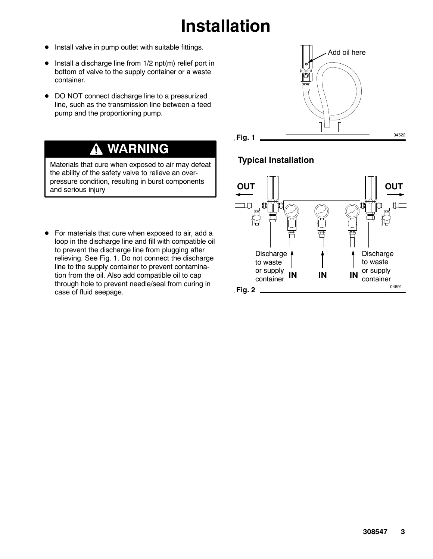# **Installation**

- Install valve in pump outlet with suitable fittings.
- $\bullet$  Install a discharge line from  $1/2$  npt(m) relief port in bottom of valve to the supply container or a waste container.
- DO NOT connect discharge line to a pressurized line, such as the transmission line between a feed pump and the proportioning pump.

#### **WARNING**

Materials that cure when exposed to air may defeat the ability of the safety valve to relieve an overpressure condition, resulting in burst components and serious injury

• For materials that cure when exposed to air, add a loop in the discharge line and fill with compatible oil to prevent the discharge line from plugging after relieving. See Fig. 1. Do not connect the discharge line to the supply container to prevent contamination from the oil. Also add compatible oil to cap through hole to prevent needle/seal from curing in case of fluid seepage.



#### **Typical Installation**

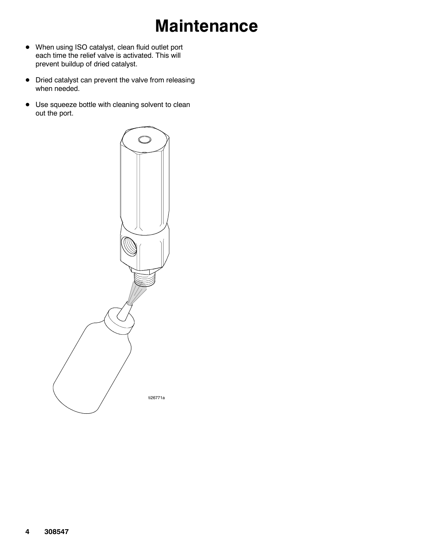## **Maintenance**

- $\bullet$  When using ISO catalyst, clean fluid outlet port each time the relief valve is activated. This will prevent buildup of dried catalyst.
- Dried catalyst can prevent the valve from releasing when needed.
- Use squeeze bottle with cleaning solvent to clean out the port.

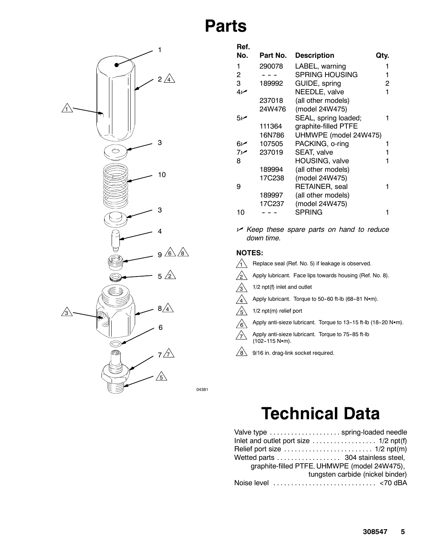### **Parts**

**Ref.**



| .    |          |                       |      |
|------|----------|-----------------------|------|
| No.  | Part No. | <b>Description</b>    | Qty. |
| 1    | 290078   | LABEL, warning        |      |
| 2    |          | <b>SPRING HOUSING</b> |      |
| 3    | 189992   | GUIDE, spring         | 2    |
| ممرا |          | NEEDLE, valve         | 1    |
|      | 237018   | (all other models)    |      |
|      | 24W476   | (model 24W475)        |      |
| ص 5  |          | SEAL, spring loaded;  |      |
|      | 111364   | graphite-filled PTFE  |      |
|      | 16N786   | UHMWPE (model 24W475) |      |
| صر6  | 107505   | PACKING, o-ring       |      |
| سما7 | 237019   | SEAT, valve           |      |
| 8    |          | HOUSING, valve        |      |
|      | 189994   | (all other models)    |      |
|      | 17C238   | (model 24W475)        |      |
| 9    |          | <b>RETAINER, seal</b> |      |
|      | 189997   | (all other models)    |      |
|      | 17C237   | (model 24W475)        |      |
| 10   |          | <b>SPRING</b>         |      |

n *Keep these spare parts on hand to reduce down time.*

#### **NOTES:**

- $\frac{1}{1}$  Replace seal (Ref. No. 5) if leakage is observed.
- $\overline{2}$  Apply lubricant. Face lips towards housing (Ref. No. 8).
- $\sqrt{3}$ 1/2 npt(f) inlet and outlet
- $\bigwedge$ Apply lubricant. Torque to 50-60 ft-lb (68-81 N•m).
- $\sqrt{5}$ 1/2 npt(m) relief port
- Apply anti-sieze lubricant. Torque to 13-15 ft-lb (18-20 N·m).  $\sqrt{6}$
- Apply anti-sieze lubricant. Torque to 75-85 ft-Ib  $(102 - 115 N·m)$ .  $\overline{\mathcal{A}}$
- $8 \leq 9/16$  in. drag-link socket required.

### **Technical Data**

| Valve type  spring-loaded needle                                       |                                  |
|------------------------------------------------------------------------|----------------------------------|
|                                                                        |                                  |
| Relief port size $\dots\dots\dots\dots\dots\dots\dots\dots$ 1/2 npt(m) |                                  |
|                                                                        |                                  |
| graphite-filled PTFE, UHMWPE (model 24W475),                           |                                  |
|                                                                        | tungsten carbide (nickel binder) |
|                                                                        |                                  |